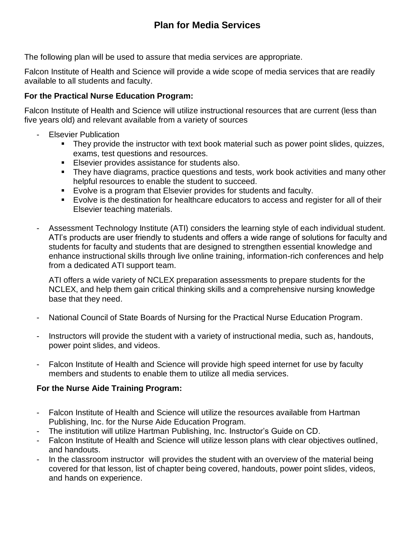## **Plan for Media Services**

The following plan will be used to assure that media services are appropriate.

Falcon Institute of Health and Science will provide a wide scope of media services that are readily available to all students and faculty.

## **For the Practical Nurse Education Program:**

Falcon Institute of Health and Science will utilize instructional resources that are current (less than five years old) and relevant available from a variety of sources

- **Elsevier Publication** 
	- They provide the instructor with text book material such as power point slides, quizzes, exams, test questions and resources.
	- **Elsevier provides assistance for students also.**
	- **•** They have diagrams, practice questions and tests, work book activities and many other helpful resources to enable the student to succeed.
	- Evolve is a program that Elsevier provides for students and faculty.
	- Evolve is the destination for healthcare educators to access and register for all of their Elsevier teaching materials.
- Assessment Technology Institute (ATI) considers the learning style of each individual student. ATI's products are user friendly to students and offers a wide range of solutions for faculty and students for faculty and students that are designed to strengthen essential knowledge and enhance instructional skills through live online training, information-rich conferences and help from a dedicated ATI support team.

ATI offers a wide variety of NCLEX preparation assessments to prepare students for the NCLEX, and help them gain critical thinking skills and a comprehensive nursing knowledge base that they need.

- National Council of State Boards of Nursing for the Practical Nurse Education Program.
- Instructors will provide the student with a variety of instructional media, such as, handouts, power point slides, and videos.
- Falcon Institute of Health and Science will provide high speed internet for use by faculty members and students to enable them to utilize all media services.

## **For the Nurse Aide Training Program:**

- Falcon Institute of Health and Science will utilize the resources available from Hartman Publishing, Inc. for the Nurse Aide Education Program.
- The institution will utilize Hartman Publishing, Inc. Instructor's Guide on CD.
- Falcon Institute of Health and Science will utilize lesson plans with clear objectives outlined, and handouts.
- In the classroom instructor will provides the student with an overview of the material being covered for that lesson, list of chapter being covered, handouts, power point slides, videos, and hands on experience.